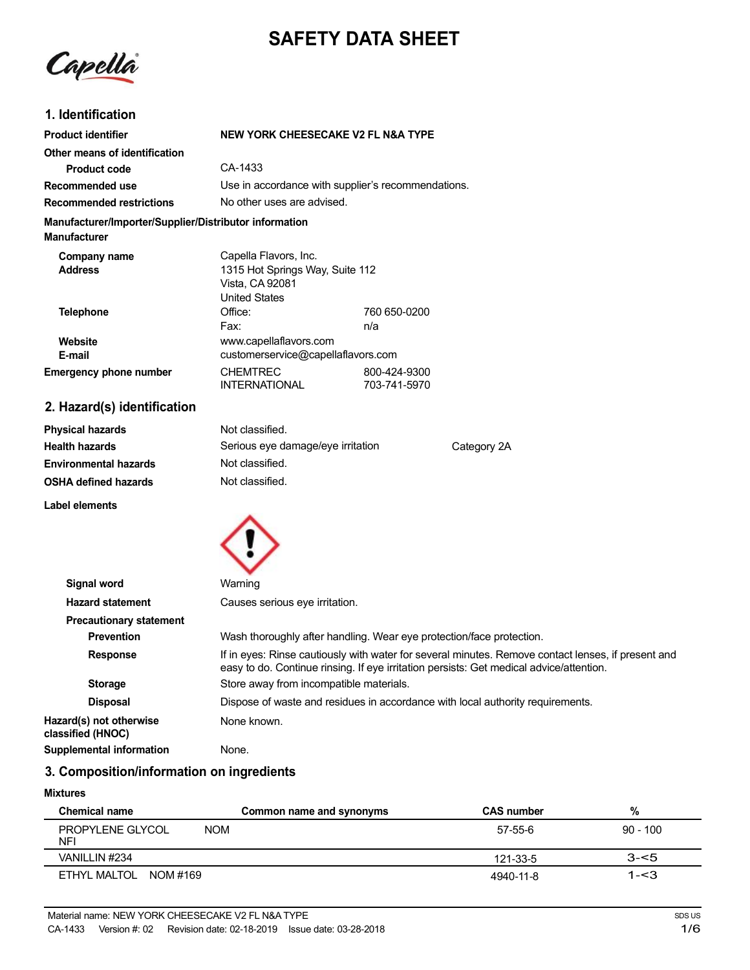# **SAFETY DATA SHEET**

Capella

## **1. Identification**

| <b>Product identifier</b>                                                     | NEW YORK CHEESECAKE V2 FL N&A TYPE                                                           |                              |
|-------------------------------------------------------------------------------|----------------------------------------------------------------------------------------------|------------------------------|
| Other means of identification                                                 |                                                                                              |                              |
| Product code                                                                  | CA-1433                                                                                      |                              |
| Recommended use                                                               | Use in accordance with supplier's recommendations.                                           |                              |
| <b>Recommended restrictions</b>                                               | No other uses are advised.                                                                   |                              |
| Manufacturer/Importer/Supplier/Distributor information<br><b>Manufacturer</b> |                                                                                              |                              |
| Company name<br><b>Address</b>                                                | Capella Flavors, Inc.<br>1315 Hot Springs Way, Suite 112<br>Vista, CA 92081<br>United States |                              |
| <b>Telephone</b>                                                              | Office:<br>Fax:                                                                              | 760 650-0200<br>n/a          |
| Website<br>E-mail                                                             | www.capellaflavors.com<br>customerservice@capellaflavors.com                                 |                              |
| <b>Emergency phone number</b>                                                 | <b>CHEMTREC</b><br><b>INTERNATIONAL</b>                                                      | 800-424-9300<br>703-741-5970 |

# **2. Hazard(s) identification**

| <b>Physical hazards</b>      | Not classified.                   |             |
|------------------------------|-----------------------------------|-------------|
| <b>Health hazards</b>        | Serious eye damage/eye irritation | Category 2A |
| <b>Environmental hazards</b> | Not classified.                   |             |
| <b>OSHA defined hazards</b>  | Not classified.                   |             |

**Label elements**



| Signal word                                  | Warning                                                                                                                                                                                       |
|----------------------------------------------|-----------------------------------------------------------------------------------------------------------------------------------------------------------------------------------------------|
| <b>Hazard statement</b>                      | Causes serious eye irritation.                                                                                                                                                                |
| <b>Precautionary statement</b>               |                                                                                                                                                                                               |
| <b>Prevention</b>                            | Wash thoroughly after handling. Wear eye protection/face protection.                                                                                                                          |
| <b>Response</b>                              | If in eyes: Rinse cautiously with water for several minutes. Remove contact lenses, if present and<br>easy to do. Continue rinsing. If eye irritation persists: Get medical advice/attention. |
| <b>Storage</b>                               | Store away from incompatible materials.                                                                                                                                                       |
| <b>Disposal</b>                              | Dispose of waste and residues in accordance with local authority requirements.                                                                                                                |
| Hazard(s) not otherwise<br>classified (HNOC) | None known.                                                                                                                                                                                   |
| <b>Supplemental information</b>              | None.                                                                                                                                                                                         |

# **3. Composition/information on ingredients**

#### **Mixtures**

| Chemical name                                | Common name and synonyms | <b>CAS number</b> | %          |
|----------------------------------------------|--------------------------|-------------------|------------|
| <b>NOM</b><br>PROPYLENE GLYCOL<br><b>NFI</b> |                          | 57-55-6           | $90 - 100$ |
| VANILLIN #234                                |                          | 121-33-5          | $3 - 5$    |
| ETHYL MALTOL NOM #169                        |                          | 4940-11-8         | $1 - 3$    |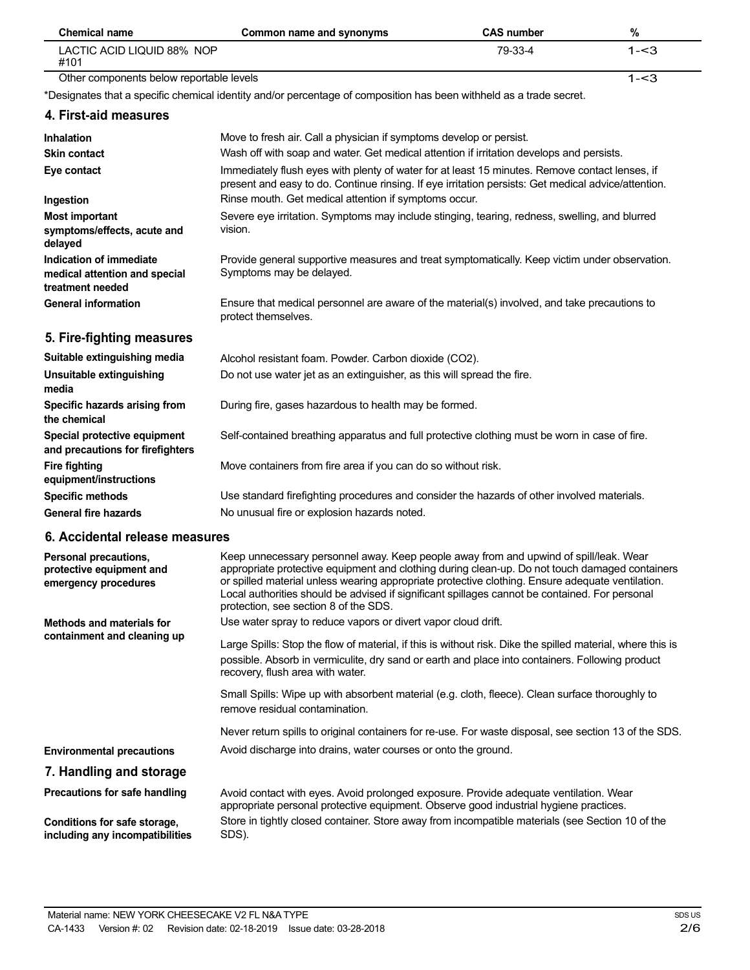| <b>Chemical name</b>                                                         | Common name and synonyms                                                                                                                                                                                                                                                                                                                                                                                                               | <b>CAS number</b> | $\%$    |
|------------------------------------------------------------------------------|----------------------------------------------------------------------------------------------------------------------------------------------------------------------------------------------------------------------------------------------------------------------------------------------------------------------------------------------------------------------------------------------------------------------------------------|-------------------|---------|
| LACTIC ACID LIQUID 88% NOP<br>#101                                           |                                                                                                                                                                                                                                                                                                                                                                                                                                        | 79-33-4           | $1 - 3$ |
| Other components below reportable levels                                     |                                                                                                                                                                                                                                                                                                                                                                                                                                        |                   | $1 - 3$ |
|                                                                              | *Designates that a specific chemical identity and/or percentage of composition has been withheld as a trade secret.                                                                                                                                                                                                                                                                                                                    |                   |         |
| 4. First-aid measures                                                        |                                                                                                                                                                                                                                                                                                                                                                                                                                        |                   |         |
| Inhalation                                                                   | Move to fresh air. Call a physician if symptoms develop or persist.                                                                                                                                                                                                                                                                                                                                                                    |                   |         |
| <b>Skin contact</b>                                                          | Wash off with soap and water. Get medical attention if irritation develops and persists.                                                                                                                                                                                                                                                                                                                                               |                   |         |
| Eye contact                                                                  | Immediately flush eyes with plenty of water for at least 15 minutes. Remove contact lenses, if<br>present and easy to do. Continue rinsing. If eye irritation persists: Get medical advice/attention.                                                                                                                                                                                                                                  |                   |         |
| Ingestion                                                                    | Rinse mouth. Get medical attention if symptoms occur.                                                                                                                                                                                                                                                                                                                                                                                  |                   |         |
| <b>Most important</b><br>symptoms/effects, acute and<br>delayed              | Severe eye irritation. Symptoms may include stinging, tearing, redness, swelling, and blurred<br>vision.                                                                                                                                                                                                                                                                                                                               |                   |         |
| Indication of immediate<br>medical attention and special<br>treatment needed | Provide general supportive measures and treat symptomatically. Keep victim under observation.<br>Symptoms may be delayed.                                                                                                                                                                                                                                                                                                              |                   |         |
| <b>General information</b>                                                   | Ensure that medical personnel are aware of the material(s) involved, and take precautions to<br>protect themselves.                                                                                                                                                                                                                                                                                                                    |                   |         |
| 5. Fire-fighting measures                                                    |                                                                                                                                                                                                                                                                                                                                                                                                                                        |                   |         |
| Suitable extinguishing media                                                 | Alcohol resistant foam. Powder. Carbon dioxide (CO2).                                                                                                                                                                                                                                                                                                                                                                                  |                   |         |
| Unsuitable extinguishing<br>media                                            | Do not use water jet as an extinguisher, as this will spread the fire.                                                                                                                                                                                                                                                                                                                                                                 |                   |         |
| Specific hazards arising from<br>the chemical                                | During fire, gases hazardous to health may be formed.                                                                                                                                                                                                                                                                                                                                                                                  |                   |         |
| Special protective equipment<br>and precautions for firefighters             | Self-contained breathing apparatus and full protective clothing must be worn in case of fire.                                                                                                                                                                                                                                                                                                                                          |                   |         |
| <b>Fire fighting</b><br>equipment/instructions                               | Move containers from fire area if you can do so without risk.                                                                                                                                                                                                                                                                                                                                                                          |                   |         |
| <b>Specific methods</b>                                                      | Use standard firefighting procedures and consider the hazards of other involved materials.                                                                                                                                                                                                                                                                                                                                             |                   |         |
| <b>General fire hazards</b>                                                  | No unusual fire or explosion hazards noted.                                                                                                                                                                                                                                                                                                                                                                                            |                   |         |
| 6. Accidental release measures                                               |                                                                                                                                                                                                                                                                                                                                                                                                                                        |                   |         |
| Personal precautions,<br>protective equipment and<br>emergency procedures    | Keep unnecessary personnel away. Keep people away from and upwind of spill/leak. Wear<br>appropriate protective equipment and clothing during clean-up. Do not touch damaged containers<br>or spilled material unless wearing appropriate protective clothing. Ensure adequate ventilation.<br>Local authorities should be advised if significant spillages cannot be contained. For personal<br>protection, see section 8 of the SDS. |                   |         |
| <b>Methods and materials for</b>                                             | Use water spray to reduce vapors or divert vapor cloud drift.                                                                                                                                                                                                                                                                                                                                                                          |                   |         |
| containment and cleaning up                                                  | Large Spills: Stop the flow of material, if this is without risk. Dike the spilled material, where this is<br>possible. Absorb in vermiculite, dry sand or earth and place into containers. Following product<br>recovery, flush area with water.                                                                                                                                                                                      |                   |         |
|                                                                              | Small Spills: Wipe up with absorbent material (e.g. cloth, fleece). Clean surface thoroughly to<br>remove residual contamination.                                                                                                                                                                                                                                                                                                      |                   |         |
|                                                                              | Never return spills to original containers for re-use. For waste disposal, see section 13 of the SDS.                                                                                                                                                                                                                                                                                                                                  |                   |         |
| <b>Environmental precautions</b>                                             | Avoid discharge into drains, water courses or onto the ground.                                                                                                                                                                                                                                                                                                                                                                         |                   |         |
| 7. Handling and storage                                                      |                                                                                                                                                                                                                                                                                                                                                                                                                                        |                   |         |
| Precautions for safe handling                                                | Avoid contact with eyes. Avoid prolonged exposure. Provide adequate ventilation. Wear<br>appropriate personal protective equipment. Observe good industrial hygiene practices.                                                                                                                                                                                                                                                         |                   |         |
| Conditions for safe storage,<br>including any incompatibilities              | Store in tightly closed container. Store away from incompatible materials (see Section 10 of the<br>SDS).                                                                                                                                                                                                                                                                                                                              |                   |         |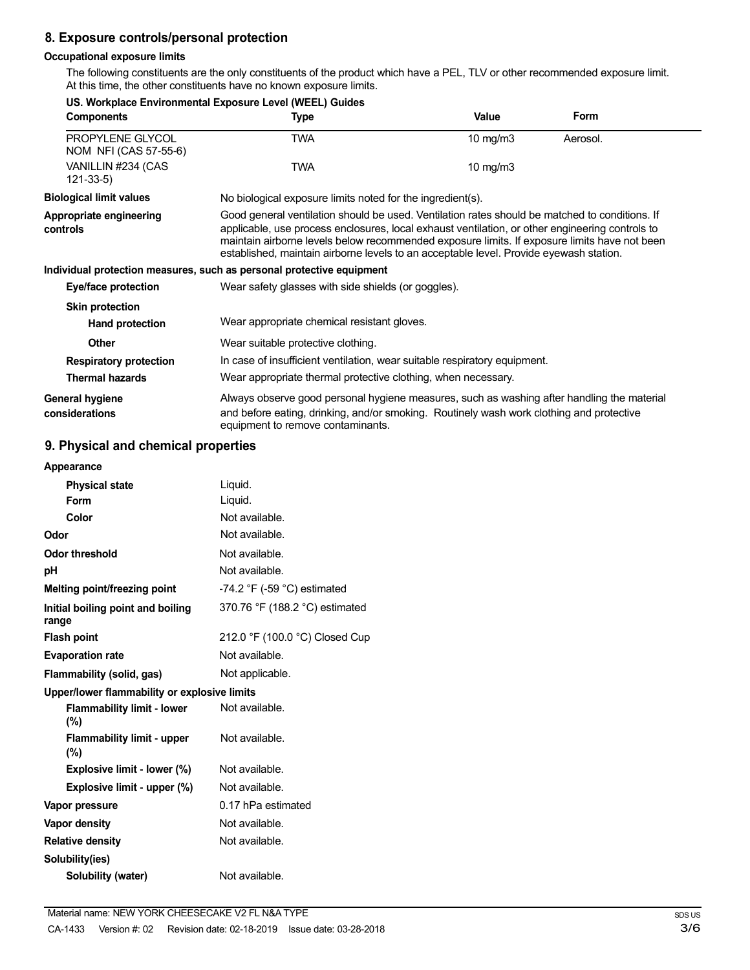## **8. Exposure controls/personal protection**

### **Occupational exposure limits**

The following constituents are the only constituents of the product which have a PEL, TLV or other recommended exposure limit. At this time, the other constituents have no known exposure limits.

|                                           | US. Workplace Environmental Exposure Level (WEEL) Guides                                                                                                                                                                                                                                                                                                                                    |             |          |
|-------------------------------------------|---------------------------------------------------------------------------------------------------------------------------------------------------------------------------------------------------------------------------------------------------------------------------------------------------------------------------------------------------------------------------------------------|-------------|----------|
| <b>Components</b>                         | Type                                                                                                                                                                                                                                                                                                                                                                                        | Value       | Form     |
| PROPYLENE GLYCOL<br>NOM NFI (CAS 57-55-6) | <b>TWA</b>                                                                                                                                                                                                                                                                                                                                                                                  | 10 mg/m $3$ | Aerosol. |
| VANILLIN #234 (CAS<br>$121 - 33 - 5$      | <b>TWA</b>                                                                                                                                                                                                                                                                                                                                                                                  | 10 mg/m $3$ |          |
| <b>Biological limit values</b>            | No biological exposure limits noted for the ingredient(s).                                                                                                                                                                                                                                                                                                                                  |             |          |
| Appropriate engineering<br>controls       | Good general ventilation should be used. Ventilation rates should be matched to conditions. If<br>applicable, use process enclosures, local exhaust ventilation, or other engineering controls to<br>maintain airborne levels below recommended exposure limits. If exposure limits have not been<br>established, maintain airborne levels to an acceptable level. Provide eyewash station. |             |          |
|                                           | Individual protection measures, such as personal protective equipment                                                                                                                                                                                                                                                                                                                       |             |          |
| Eye/face protection                       | Wear safety glasses with side shields (or goggles).                                                                                                                                                                                                                                                                                                                                         |             |          |
| <b>Skin protection</b>                    |                                                                                                                                                                                                                                                                                                                                                                                             |             |          |
| Hand protection                           | Wear appropriate chemical resistant gloves.                                                                                                                                                                                                                                                                                                                                                 |             |          |
| <b>Other</b>                              | Wear suitable protective clothing.                                                                                                                                                                                                                                                                                                                                                          |             |          |
| <b>Respiratory protection</b>             | In case of insufficient ventilation, wear suitable respiratory equipment.                                                                                                                                                                                                                                                                                                                   |             |          |
| <b>Thermal hazards</b>                    | Wear appropriate thermal protective clothing, when necessary.                                                                                                                                                                                                                                                                                                                               |             |          |
| General hygiene<br>considerations         | Always observe good personal hygiene measures, such as washing after handling the material<br>and before eating, drinking, and/or smoking. Routinely wash work clothing and protective<br>equipment to remove contaminants.                                                                                                                                                                 |             |          |

# **9. Physical and chemical properties**

| Appearance                                   |                                               |
|----------------------------------------------|-----------------------------------------------|
| <b>Physical state</b>                        | Liquid.                                       |
| Form                                         | Liquid.                                       |
| Color                                        | Not available.                                |
| Odor                                         | Not available.                                |
| Odor threshold                               | Not available.                                |
| рH                                           | Not available.                                |
| Melting point/freezing point                 | -74.2 $\degree$ F (-59 $\degree$ C) estimated |
| Initial boiling point and boiling<br>range   | 370.76 °F (188.2 °C) estimated                |
| <b>Flash point</b>                           | 212.0 °F (100.0 °C) Closed Cup                |
| <b>Evaporation rate</b>                      | Not available.                                |
| Flammability (solid, gas)                    | Not applicable.                               |
| Upper/lower flammability or explosive limits |                                               |
| <b>Flammability limit - lower</b><br>(%)     | Not available.                                |
| <b>Flammability limit - upper</b><br>$(\%)$  | Not available.                                |
| Explosive limit - lower (%)                  | Not available.                                |
| Explosive limit - upper (%)                  | Not available.                                |
| Vapor pressure                               | 0.17 hPa estimated                            |
| <b>Vapor density</b>                         | Not available.                                |
| <b>Relative density</b>                      | Not available.                                |
| Solubility(ies)                              |                                               |
| Solubility (water)                           | Not available.                                |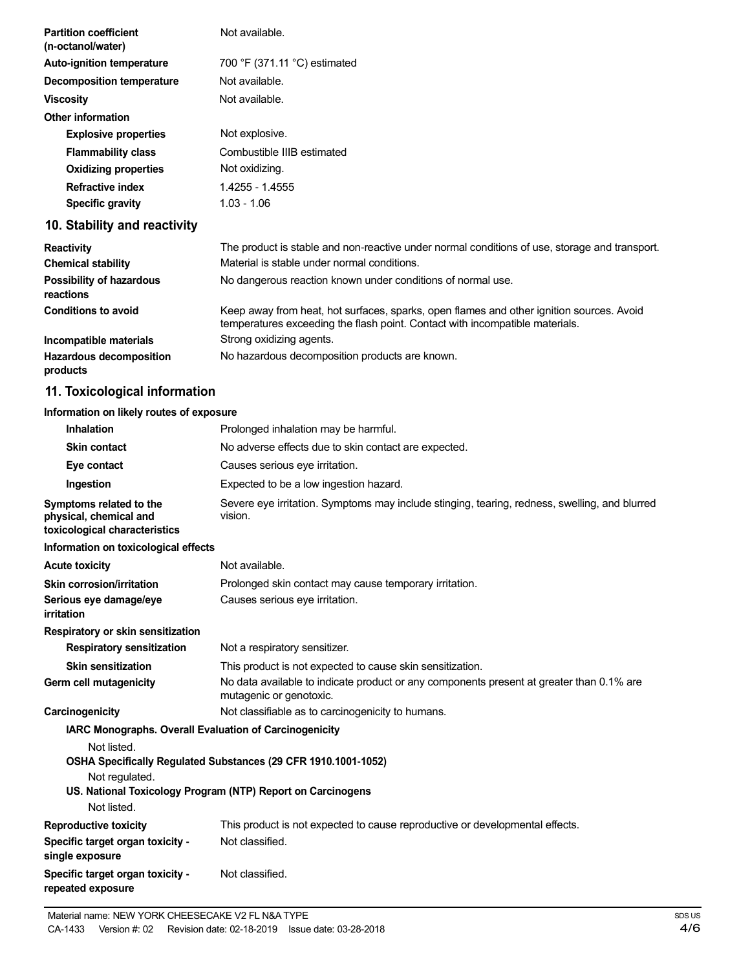| <b>Partition coefficient</b><br>(n-octanol/water)                                  | Not available.                                                                                                                                                           |
|------------------------------------------------------------------------------------|--------------------------------------------------------------------------------------------------------------------------------------------------------------------------|
| <b>Auto-ignition temperature</b>                                                   | 700 °F (371.11 °C) estimated                                                                                                                                             |
| <b>Decomposition temperature</b>                                                   | Not available.                                                                                                                                                           |
| <b>Viscosity</b>                                                                   | Not available.                                                                                                                                                           |
| <b>Other information</b>                                                           |                                                                                                                                                                          |
| <b>Explosive properties</b>                                                        | Not explosive.                                                                                                                                                           |
| <b>Flammability class</b>                                                          | Combustible IIIB estimated                                                                                                                                               |
| <b>Oxidizing properties</b>                                                        | Not oxidizing.                                                                                                                                                           |
| <b>Refractive index</b>                                                            | 1.4255 - 1.4555                                                                                                                                                          |
| <b>Specific gravity</b>                                                            | $1.03 - 1.06$                                                                                                                                                            |
| 10. Stability and reactivity                                                       |                                                                                                                                                                          |
| <b>Reactivity</b>                                                                  | The product is stable and non-reactive under normal conditions of use, storage and transport.                                                                            |
| <b>Chemical stability</b>                                                          | Material is stable under normal conditions.                                                                                                                              |
| <b>Possibility of hazardous</b><br>reactions                                       | No dangerous reaction known under conditions of normal use.                                                                                                              |
| <b>Conditions to avoid</b>                                                         | Keep away from heat, hot surfaces, sparks, open flames and other ignition sources. Avoid<br>temperatures exceeding the flash point. Contact with incompatible materials. |
| Incompatible materials                                                             | Strong oxidizing agents.                                                                                                                                                 |
| <b>Hazardous decomposition</b><br>products                                         | No hazardous decomposition products are known.                                                                                                                           |
| 11. Toxicological information                                                      |                                                                                                                                                                          |
| Information on likely routes of exposure                                           |                                                                                                                                                                          |
| <b>Inhalation</b>                                                                  | Prolonged inhalation may be harmful.                                                                                                                                     |
| <b>Skin contact</b>                                                                | No adverse effects due to skin contact are expected.                                                                                                                     |
| Eye contact                                                                        | Causes serious eye irritation.                                                                                                                                           |
| Ingestion                                                                          | Expected to be a low ingestion hazard.                                                                                                                                   |
| Symptoms related to the<br>physical, chemical and<br>toxicological characteristics | Severe eye irritation. Symptoms may include stinging, tearing, redness, swelling, and blurred<br>vision.                                                                 |
| Information on toxicological effects                                               |                                                                                                                                                                          |
| <b>Acute toxicity</b>                                                              | Not available.                                                                                                                                                           |
| Skin corrosion/irritation                                                          | Prolonged skin contact may cause temporary irritation.                                                                                                                   |
| Serious eye damage/eye<br>irritation                                               | Causes serious eye irritation.                                                                                                                                           |

**Respiratory or skin sensitization**

**Respiratory sensitization** Not a respiratory sensitizer. **Skin sensitization Germ cell mutagenicity** This product is not expected to cause skin sensitization. No data available to indicate product or any components present at greater than 0.1% are mutagenic or genotoxic. **Carcinogenicity Carcinogenicity Not classifiable as to carcinogenicity to humans. IARC Monographs. Overall Evaluation of Carcinogenicity** Not listed. **OSHA Specifically Regulated Substances (29 CFR 1910.1001-1052)** Not regulated. **US. National Toxicology Program (NTP) Report on Carcinogens** Not listed.

| <b>Reproductive toxicity</b>                          | This product is not expected to cause reproductive or developmental effects. |
|-------------------------------------------------------|------------------------------------------------------------------------------|
| Specific target organ toxicity -<br>single exposure   | Not classified.                                                              |
| Specific target organ toxicity -<br>repeated exposure | Not classified.                                                              |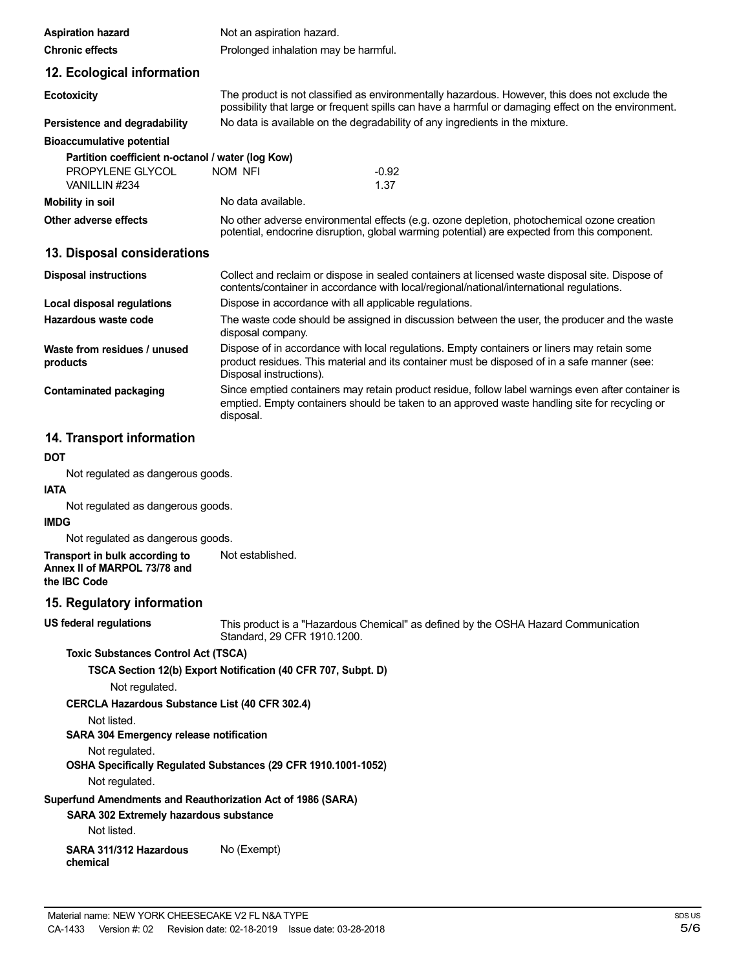| <b>Aspiration hazard</b>                          | Not an aspiration hazard.                              |                                                                                                                                                                                                       |
|---------------------------------------------------|--------------------------------------------------------|-------------------------------------------------------------------------------------------------------------------------------------------------------------------------------------------------------|
| <b>Chronic effects</b>                            | Prolonged inhalation may be harmful.                   |                                                                                                                                                                                                       |
| 12. Ecological information                        |                                                        |                                                                                                                                                                                                       |
| <b>Ecotoxicity</b>                                |                                                        | The product is not classified as environmentally hazardous. However, this does not exclude the<br>possibility that large or frequent spills can have a harmful or damaging effect on the environment. |
| Persistence and degradability                     |                                                        | No data is available on the degradability of any ingredients in the mixture.                                                                                                                          |
| <b>Bioaccumulative potential</b>                  |                                                        |                                                                                                                                                                                                       |
| Partition coefficient n-octanol / water (log Kow) |                                                        |                                                                                                                                                                                                       |
| PROPYLENE GLYCOL<br>VANILLIN #234                 | NOM NFI                                                | $-0.92$<br>1.37                                                                                                                                                                                       |
| <b>Mobility in soil</b>                           | No data available.                                     |                                                                                                                                                                                                       |
| Other adverse effects                             |                                                        | No other adverse environmental effects (e.g. ozone depletion, photochemical ozone creation<br>potential, endocrine disruption, global warming potential) are expected from this component.            |
| 13. Disposal considerations                       |                                                        |                                                                                                                                                                                                       |
| <b>Disposal instructions</b>                      |                                                        | Collect and reclaim or dispose in sealed containers at licensed waste disposal site. Dispose of<br>contents/container in accordance with local/regional/national/international regulations.           |
| Local disposal regulations                        | Dispose in accordance with all applicable regulations. |                                                                                                                                                                                                       |
| Hazardous waste code                              | disposal company.                                      | The waste code should be assigned in discussion between the user, the producer and the waste                                                                                                          |
| Waste from residues / unused<br>products          | Disposal instructions).                                | Dispose of in accordance with local regulations. Empty containers or liners may retain some<br>product residues. This material and its container must be disposed of in a safe manner (see:           |
| <b>Contaminated packaging</b>                     | disposal.                                              | Since emptied containers may retain product residue, follow label warnings even after container is<br>emptied. Empty containers should be taken to an approved waste handling site for recycling or   |
| 14. Transport information                         |                                                        |                                                                                                                                                                                                       |
| <b>DOT</b>                                        |                                                        |                                                                                                                                                                                                       |
| Not regulated as dangerous goods.                 |                                                        |                                                                                                                                                                                                       |
| <b>IATA</b>                                       |                                                        |                                                                                                                                                                                                       |
| Not regulated as dangerous goods.                 |                                                        |                                                                                                                                                                                                       |

**IMDG**

Not regulated as dangerous goods.

**Transport in bulk according to Annex II of MARPOL 73/78 and** Not established.

**the IBC Code**

### **15. Regulatory information**

**US federal regulations**

This product is a "Hazardous Chemical" as defined by the OSHA Hazard Communication Standard, 29 CFR 1910.1200.

#### **Toxic Substances Control Act (TSCA)**

#### **TSCA Section 12(b) Export Notification (40 CFR 707, Subpt. D)**

Not regulated.

## **CERCLA Hazardous Substance List (40 CFR 302.4)**

Not listed.

## **SARA 304 Emergency release notification**

Not regulated.

## **OSHA Specifically Regulated Substances (29 CFR 1910.1001-1052)**

Not regulated.

## **Superfund Amendments and Reauthorization Act of 1986 (SARA)**

## **SARA 302 Extremely hazardous substance**

Not listed.

**SARA 311/312 Hazardous chemical** No (Exempt)